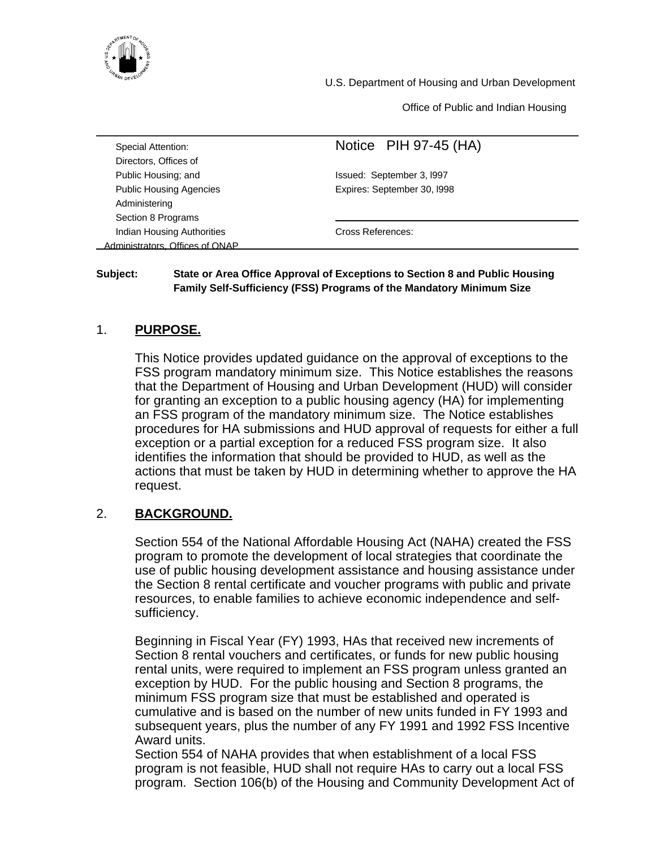

U.S. Department of Housing and Urban Development

Office of Public and Indian Housing

| Special Attention:                | Notice PIH 97-45 (HA)       |
|-----------------------------------|-----------------------------|
| Directors, Offices of             |                             |
| Public Housing; and               | Issued: September 3, 1997   |
| <b>Public Housing Agencies</b>    | Expires: September 30, I998 |
| Administering                     |                             |
| Section 8 Programs                |                             |
| <b>Indian Housing Authorities</b> | Cross References:           |
| Administrators Offices of ONAP    |                             |

#### **Subject: State or Area Office Approval of Exceptions to Section 8 and Public Housing Family Self-Sufficiency (FSS) Programs of the Mandatory Minimum Size**

# 1. **PURPOSE.**

This Notice provides updated guidance on the approval of exceptions to the FSS program mandatory minimum size. This Notice establishes the reasons that the Department of Housing and Urban Development (HUD) will consider for granting an exception to a public housing agency (HA) for implementing an FSS program of the mandatory minimum size. The Notice establishes procedures for HA submissions and HUD approval of requests for either a full exception or a partial exception for a reduced FSS program size. It also identifies the information that should be provided to HUD, as well as the actions that must be taken by HUD in determining whether to approve the HA request.

# 2. **BACKGROUND.**

Section 554 of the National Affordable Housing Act (NAHA) created the FSS program to promote the development of local strategies that coordinate the use of public housing development assistance and housing assistance under the Section 8 rental certificate and voucher programs with public and private resources, to enable families to achieve economic independence and selfsufficiency.

Beginning in Fiscal Year (FY) 1993, HAs that received new increments of Section 8 rental vouchers and certificates, or funds for new public housing rental units, were required to implement an FSS program unless granted an exception by HUD. For the public housing and Section 8 programs, the minimum FSS program size that must be established and operated is cumulative and is based on the number of new units funded in FY 1993 and subsequent years, plus the number of any FY 1991 and 1992 FSS Incentive Award units.

Section 554 of NAHA provides that when establishment of a local FSS program is not feasible, HUD shall not require HAs to carry out a local FSS program. Section 106(b) of the Housing and Community Development Act of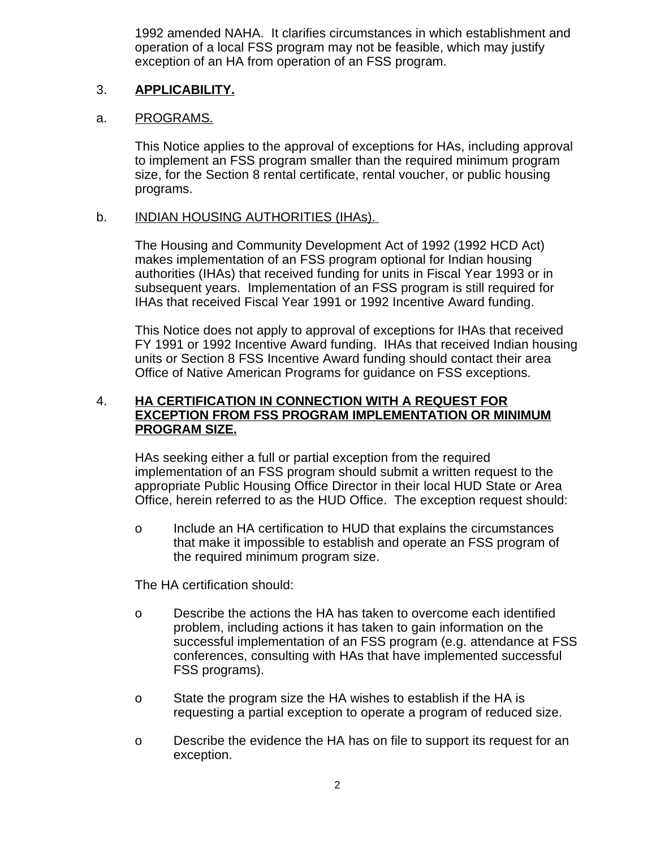1992 amended NAHA. It clarifies circumstances in which establishment and operation of a local FSS program may not be feasible, which may justify exception of an HA from operation of an FSS program.

#### 3. **APPLICABILITY.**

#### a. PROGRAMS.

This Notice applies to the approval of exceptions for HAs, including approval to implement an FSS program smaller than the required minimum program size, for the Section 8 rental certificate, rental voucher, or public housing programs.

## b. INDIAN HOUSING AUTHORITIES (IHAs).

The Housing and Community Development Act of 1992 (1992 HCD Act) makes implementation of an FSS program optional for Indian housing authorities (IHAs) that received funding for units in Fiscal Year 1993 or in subsequent years. Implementation of an FSS program is still required for IHAs that received Fiscal Year 1991 or 1992 Incentive Award funding.

This Notice does not apply to approval of exceptions for IHAs that received FY 1991 or 1992 Incentive Award funding. IHAs that received Indian housing units or Section 8 FSS Incentive Award funding should contact their area Office of Native American Programs for guidance on FSS exceptions.

# 4. **HA CERTIFICATION IN CONNECTION WITH A REQUEST FOR EXCEPTION FROM FSS PROGRAM IMPLEMENTATION OR MINIMUM PROGRAM SIZE.**

HAs seeking either a full or partial exception from the required implementation of an FSS program should submit a written request to the appropriate Public Housing Office Director in their local HUD State or Area Office, herein referred to as the HUD Office. The exception request should:

o Include an HA certification to HUD that explains the circumstances that make it impossible to establish and operate an FSS program of the required minimum program size.

The HA certification should:

- o Describe the actions the HA has taken to overcome each identified problem, including actions it has taken to gain information on the successful implementation of an FSS program (e.g. attendance at FSS conferences, consulting with HAs that have implemented successful FSS programs).
- o State the program size the HA wishes to establish if the HA is requesting a partial exception to operate a program of reduced size.
- o Describe the evidence the HA has on file to support its request for an exception.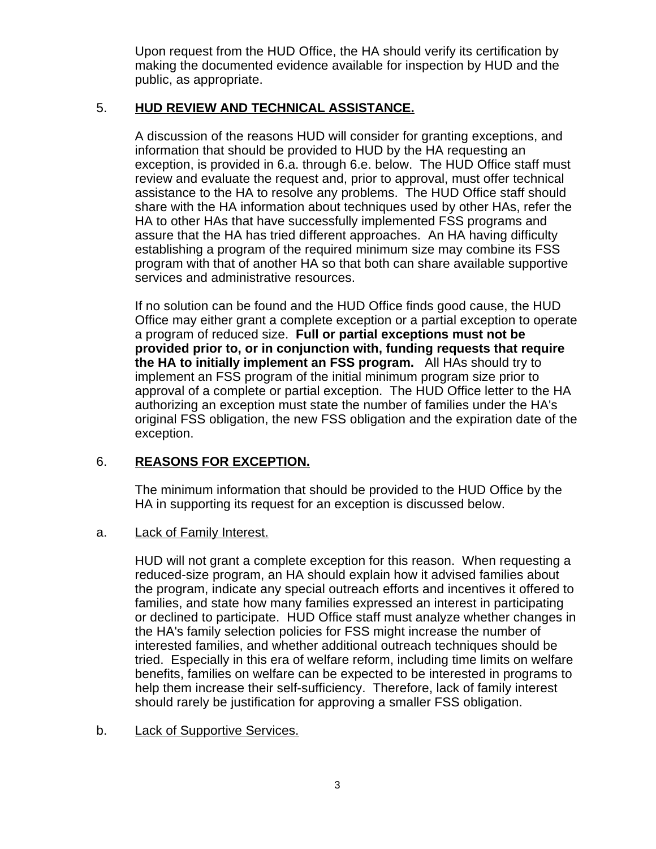Upon request from the HUD Office, the HA should verify its certification by making the documented evidence available for inspection by HUD and the public, as appropriate.

# 5. **HUD REVIEW AND TECHNICAL ASSISTANCE.**

A discussion of the reasons HUD will consider for granting exceptions, and information that should be provided to HUD by the HA requesting an exception, is provided in 6.a. through 6.e. below. The HUD Office staff must review and evaluate the request and, prior to approval, must offer technical assistance to the HA to resolve any problems. The HUD Office staff should share with the HA information about techniques used by other HAs, refer the HA to other HAs that have successfully implemented FSS programs and assure that the HA has tried different approaches. An HA having difficulty establishing a program of the required minimum size may combine its FSS program with that of another HA so that both can share available supportive services and administrative resources.

If no solution can be found and the HUD Office finds good cause, the HUD Office may either grant a complete exception or a partial exception to operate a program of reduced size. **Full or partial exceptions must not be provided prior to, or in conjunction with, funding requests that require the HA to initially implement an FSS program.** All HAs should try to implement an FSS program of the initial minimum program size prior to approval of a complete or partial exception. The HUD Office letter to the HA authorizing an exception must state the number of families under the HA's original FSS obligation, the new FSS obligation and the expiration date of the exception.

# 6. **REASONS FOR EXCEPTION.**

The minimum information that should be provided to the HUD Office by the HA in supporting its request for an exception is discussed below.

# a. Lack of Family Interest.

HUD will not grant a complete exception for this reason. When requesting a reduced-size program, an HA should explain how it advised families about the program, indicate any special outreach efforts and incentives it offered to families, and state how many families expressed an interest in participating or declined to participate. HUD Office staff must analyze whether changes in the HA's family selection policies for FSS might increase the number of interested families, and whether additional outreach techniques should be tried. Especially in this era of welfare reform, including time limits on welfare benefits, families on welfare can be expected to be interested in programs to help them increase their self-sufficiency. Therefore, lack of family interest should rarely be justification for approving a smaller FSS obligation.

# b. Lack of Supportive Services.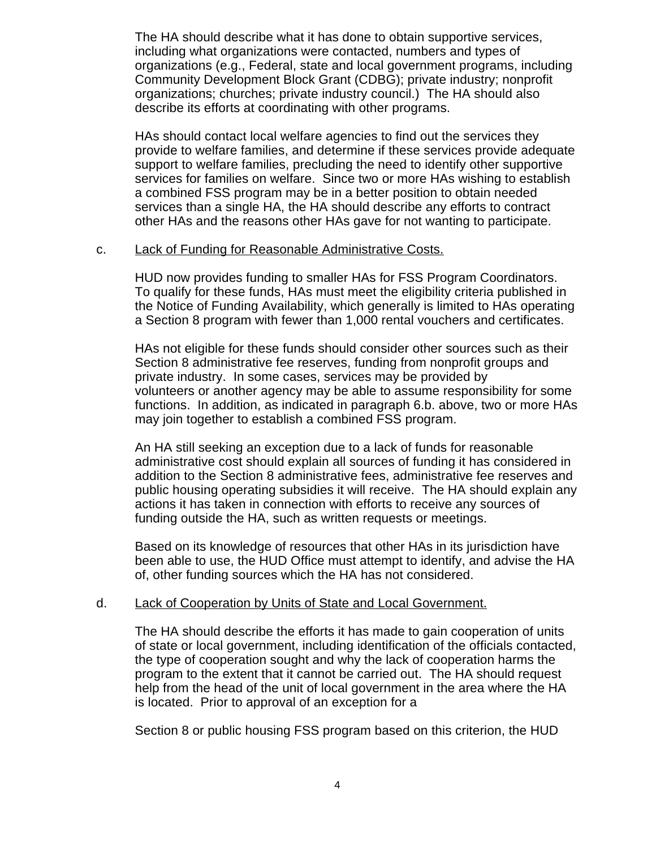The HA should describe what it has done to obtain supportive services, including what organizations were contacted, numbers and types of organizations (e.g., Federal, state and local government programs, including Community Development Block Grant (CDBG); private industry; nonprofit organizations; churches; private industry council.) The HA should also describe its efforts at coordinating with other programs.

HAs should contact local welfare agencies to find out the services they provide to welfare families, and determine if these services provide adequate support to welfare families, precluding the need to identify other supportive services for families on welfare. Since two or more HAs wishing to establish a combined FSS program may be in a better position to obtain needed services than a single HA, the HA should describe any efforts to contract other HAs and the reasons other HAs gave for not wanting to participate.

#### c. Lack of Funding for Reasonable Administrative Costs.

HUD now provides funding to smaller HAs for FSS Program Coordinators. To qualify for these funds, HAs must meet the eligibility criteria published in the Notice of Funding Availability, which generally is limited to HAs operating a Section 8 program with fewer than 1,000 rental vouchers and certificates.

HAs not eligible for these funds should consider other sources such as their Section 8 administrative fee reserves, funding from nonprofit groups and private industry. In some cases, services may be provided by volunteers or another agency may be able to assume responsibility for some functions. In addition, as indicated in paragraph 6.b. above, two or more HAs may join together to establish a combined FSS program.

An HA still seeking an exception due to a lack of funds for reasonable administrative cost should explain all sources of funding it has considered in addition to the Section 8 administrative fees, administrative fee reserves and public housing operating subsidies it will receive. The HA should explain any actions it has taken in connection with efforts to receive any sources of funding outside the HA, such as written requests or meetings.

Based on its knowledge of resources that other HAs in its jurisdiction have been able to use, the HUD Office must attempt to identify, and advise the HA of, other funding sources which the HA has not considered.

#### d. Lack of Cooperation by Units of State and Local Government.

The HA should describe the efforts it has made to gain cooperation of units of state or local government, including identification of the officials contacted, the type of cooperation sought and why the lack of cooperation harms the program to the extent that it cannot be carried out. The HA should request help from the head of the unit of local government in the area where the HA is located. Prior to approval of an exception for a

Section 8 or public housing FSS program based on this criterion, the HUD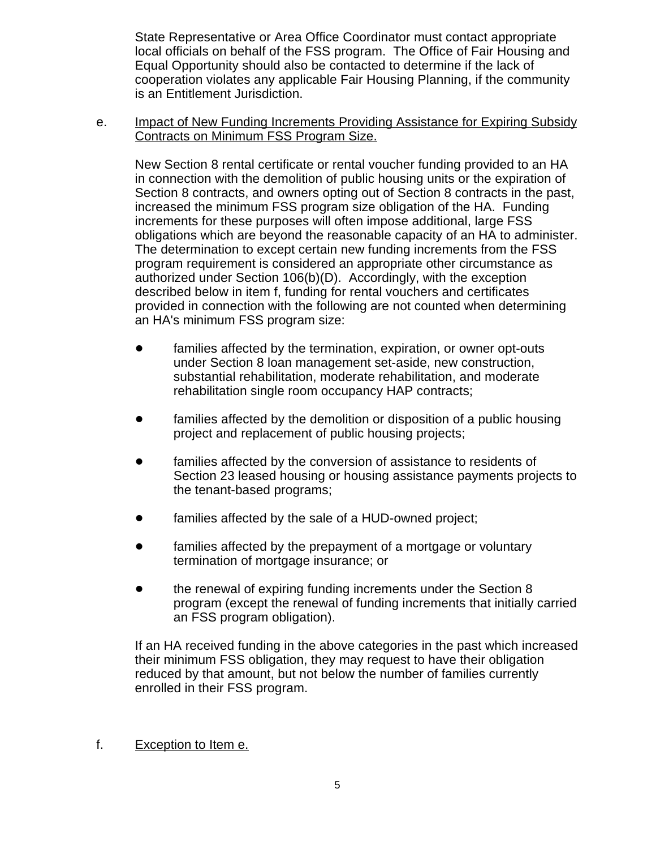State Representative or Area Office Coordinator must contact appropriate local officials on behalf of the FSS program. The Office of Fair Housing and Equal Opportunity should also be contacted to determine if the lack of cooperation violates any applicable Fair Housing Planning, if the community is an Entitlement Jurisdiction.

e. **Impact of New Funding Increments Providing Assistance for Expiring Subsidy** Contracts on Minimum FSS Program Size.

New Section 8 rental certificate or rental voucher funding provided to an HA in connection with the demolition of public housing units or the expiration of Section 8 contracts, and owners opting out of Section 8 contracts in the past, increased the minimum FSS program size obligation of the HA. Funding increments for these purposes will often impose additional, large FSS obligations which are beyond the reasonable capacity of an HA to administer. The determination to except certain new funding increments from the FSS program requirement is considered an appropriate other circumstance as authorized under Section 106(b)(D). Accordingly, with the exception described below in item f, funding for rental vouchers and certificates provided in connection with the following are not counted when determining an HA's minimum FSS program size:

- families affected by the termination, expiration, or owner opt-outs under Section 8 loan management set-aside, new construction, substantial rehabilitation, moderate rehabilitation, and moderate rehabilitation single room occupancy HAP contracts;
- families affected by the demolition or disposition of a public housing project and replacement of public housing projects;
- families affected by the conversion of assistance to residents of Section 23 leased housing or housing assistance payments projects to the tenant-based programs;
- families affected by the sale of a HUD-owned project;
- families affected by the prepayment of a mortgage or voluntary termination of mortgage insurance; or
- the renewal of expiring funding increments under the Section 8 program (except the renewal of funding increments that initially carried an FSS program obligation).

If an HA received funding in the above categories in the past which increased their minimum FSS obligation, they may request to have their obligation reduced by that amount, but not below the number of families currently enrolled in their FSS program.

f. Exception to Item e.